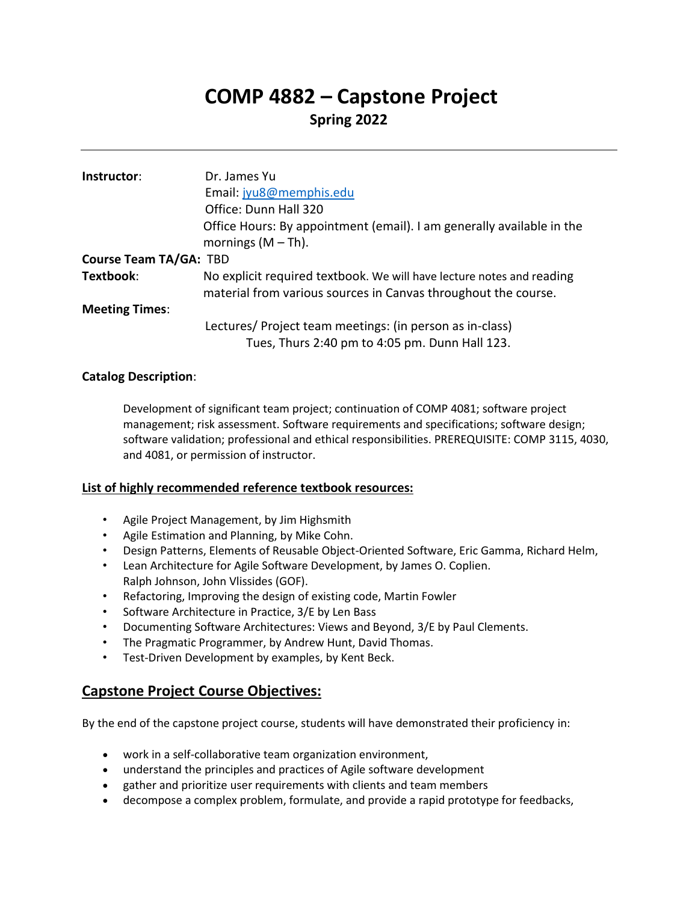# **COMP 4882 – Capstone Project**

# **Spring 2022**

| Instructor:                   | Dr. James Yu                                                                                                                            |
|-------------------------------|-----------------------------------------------------------------------------------------------------------------------------------------|
|                               | Email: jyu8@memphis.edu                                                                                                                 |
|                               | Office: Dunn Hall 320                                                                                                                   |
|                               | Office Hours: By appointment (email). I am generally available in the<br>mornings $(M-Th)$ .                                            |
| <b>Course Team TA/GA: TBD</b> |                                                                                                                                         |
| Textbook:                     | No explicit required textbook. We will have lecture notes and reading<br>material from various sources in Canvas throughout the course. |
| <b>Meeting Times:</b>         |                                                                                                                                         |
|                               | Lectures/ Project team meetings: (in person as in-class)                                                                                |
|                               | Tues, Thurs 2:40 pm to 4:05 pm. Dunn Hall 123.                                                                                          |

## **Catalog Description**:

Development of significant team project; continuation of COMP 4081; software project management; risk assessment. Software requirements and specifications; software design; software validation; professional and ethical responsibilities. PREREQUISITE: COMP 3115, 4030, and 4081, or permission of instructor.

#### **List of highly recommended reference textbook resources:**

- Agile Project Management, by Jim Highsmith
- Agile Estimation and Planning, by Mike Cohn.
- Design Patterns, Elements of Reusable Object-Oriented Software, Eric Gamma, Richard Helm,
- Lean Architecture for Agile Software Development, by James O. Coplien. Ralph Johnson, John Vlissides (GOF).
- Refactoring, Improving the design of existing code, Martin Fowler
- Software Architecture in Practice, 3/E by Len Bass
- Documenting Software Architectures: Views and Beyond, 3/E by Paul Clements.
- The Pragmatic Programmer, by Andrew Hunt, David Thomas.
- Test-Driven Development by examples, by Kent Beck.

## **Capstone Project Course Objectives:**

By the end of the capstone project course, students will have demonstrated their proficiency in:

- work in a self-collaborative team organization environment,
- understand the principles and practices of Agile software development
- gather and prioritize user requirements with clients and team members
- decompose a complex problem, formulate, and provide a rapid prototype for feedbacks,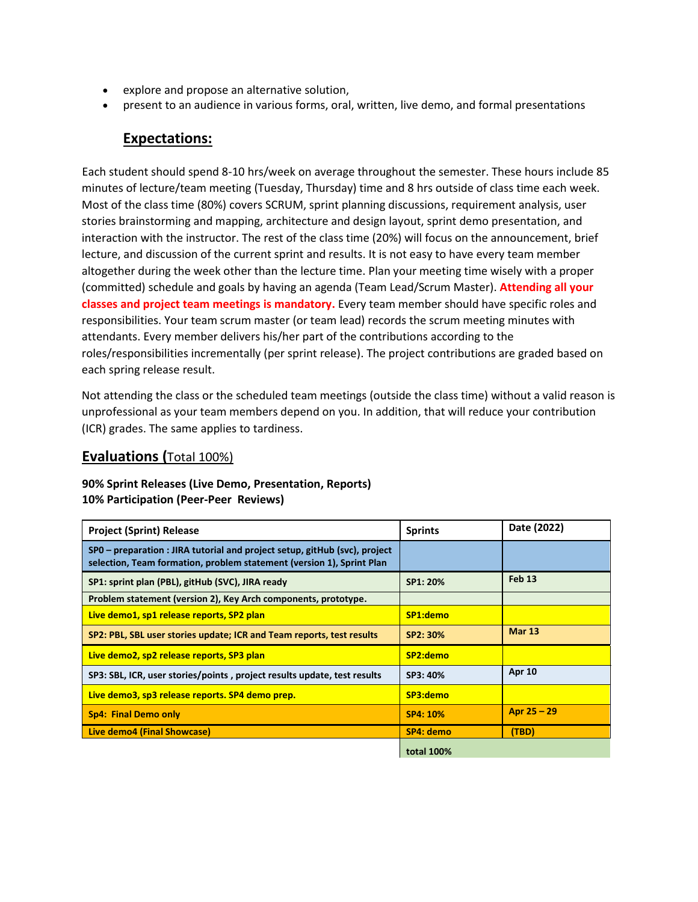- explore and propose an alternative solution,
- present to an audience in various forms, oral, written, live demo, and formal presentations

## **Expectations:**

Each student should spend 8-10 hrs/week on average throughout the semester. These hours include 85 minutes of lecture/team meeting (Tuesday, Thursday) time and 8 hrs outside of class time each week. Most of the class time (80%) covers SCRUM, sprint planning discussions, requirement analysis, user stories brainstorming and mapping, architecture and design layout, sprint demo presentation, and interaction with the instructor. The rest of the class time (20%) will focus on the announcement, brief lecture, and discussion of the current sprint and results. It is not easy to have every team member altogether during the week other than the lecture time. Plan your meeting time wisely with a proper (committed) schedule and goals by having an agenda (Team Lead/Scrum Master). **Attending all your classes and project team meetings is mandatory.** Every team member should have specific roles and responsibilities. Your team scrum master (or team lead) records the scrum meeting minutes with attendants. Every member delivers his/her part of the contributions according to the roles/responsibilities incrementally (per sprint release). The project contributions are graded based on each spring release result.

Not attending the class or the scheduled team meetings (outside the class time) without a valid reason is unprofessional as your team members depend on you. In addition, that will reduce your contribution (ICR) grades. The same applies to tardiness.

## **Evaluations (**Total 100%)

#### **90% Sprint Releases (Live Demo, Presentation, Reports) 10% Participation (Peer-Peer Reviews)**

| <b>Project (Sprint) Release</b>                                                                                                                     | <b>Sprints</b>    | Date (2022)   |
|-----------------------------------------------------------------------------------------------------------------------------------------------------|-------------------|---------------|
| SPO – preparation : JIRA tutorial and project setup, gitHub (svc), project<br>selection, Team formation, problem statement (version 1), Sprint Plan |                   |               |
| SP1: sprint plan (PBL), gitHub (SVC), JIRA ready                                                                                                    | SP1: 20%          | <b>Feb 13</b> |
| Problem statement (version 2), Key Arch components, prototype.                                                                                      |                   |               |
| Live demo1, sp1 release reports, SP2 plan                                                                                                           | SP1:demo          |               |
| SP2: PBL, SBL user stories update; ICR and Team reports, test results                                                                               | SP2: 30%          | <b>Mar 13</b> |
| Live demo2, sp2 release reports, SP3 plan                                                                                                           | SP2:demo          |               |
| SP3: SBL, ICR, user stories/points, project results update, test results                                                                            | SP3: 40%          | <b>Apr 10</b> |
| Live demo3, sp3 release reports. SP4 demo prep.                                                                                                     | SP3:demo          |               |
| <b>Sp4: Final Demo only</b>                                                                                                                         | SP4: 10%          | Apr $25 - 29$ |
| Live demo4 (Final Showcase)                                                                                                                         | SP4: demo         | (TBD)         |
|                                                                                                                                                     | <b>total 100%</b> |               |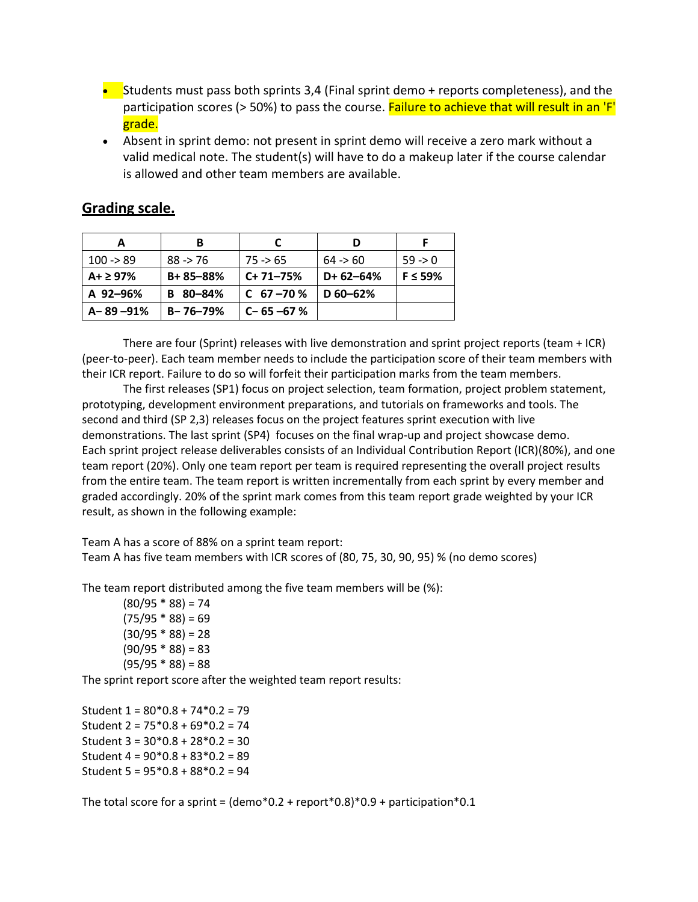- Students must pass both sprints 3,4 (Final sprint demo  $+$  reports completeness), and the participation scores (> 50%) to pass the course. Failure to achieve that will result in an 'F' grade.
- Absent in sprint demo: not present in sprint demo will receive a zero mark without a valid medical note. The student(s) will have to do a makeup later if the course calendar is allowed and other team members are available.

|                 | в              |                 |            |               |
|-----------------|----------------|-----------------|------------|---------------|
| $100 - 89$      | $88 - 76$      | $75 \div 65$    | 64 > 60    | $59 - 0$      |
| $A + \geq 97\%$ | $B + 85 - 88%$ | $C+71-75%$      | $D+62-64%$ | $F \leq 59\%$ |
| A 92-96%        | 80-84%<br>в    | $C$ 67 – 70 %   | $D$ 60-62% |               |
| ∣A–89–91%       | $B - 76 - 79%$ | $C - 65 - 67 %$ |            |               |

# **Grading scale.**

There are four (Sprint) releases with live demonstration and sprint project reports (team + ICR) (peer-to-peer). Each team member needs to include the participation score of their team members with their ICR report. Failure to do so will forfeit their participation marks from the team members.

The first releases (SP1) focus on project selection, team formation, project problem statement, prototyping, development environment preparations, and tutorials on frameworks and tools. The second and third (SP 2,3) releases focus on the project features sprint execution with live demonstrations. The last sprint (SP4) focuses on the final wrap-up and project showcase demo. Each sprint project release deliverables consists of an Individual Contribution Report (ICR)(80%), and one team report (20%). Only one team report per team is required representing the overall project results from the entire team. The team report is written incrementally from each sprint by every member and graded accordingly. 20% of the sprint mark comes from this team report grade weighted by your ICR result, as shown in the following example:

Team A has a score of 88% on a sprint team report: Team A has five team members with ICR scores of (80, 75, 30, 90, 95) % (no demo scores)

The team report distributed among the five team members will be (%):

 $(80/95 * 88) = 74$  $(75/95 * 88) = 69$  $(30/95 * 88) = 28$  $(90/95 * 88) = 83$  $(95/95 * 88) = 88$ 

The sprint report score after the weighted team report results:

Student 1 = 80\*0.8 + 74\*0.2 = 79 Student 2 = 75\*0.8 + 69\*0.2 = 74 Student 3 = 30\*0.8 + 28\*0.2 = 30 Student 4 = 90\*0.8 + 83\*0.2 = 89 Student 5 = 95\*0.8 + 88\*0.2 = 94

The total score for a sprint =  $(demo*0.2 + report*0.8)*0.9 + participation*0.1$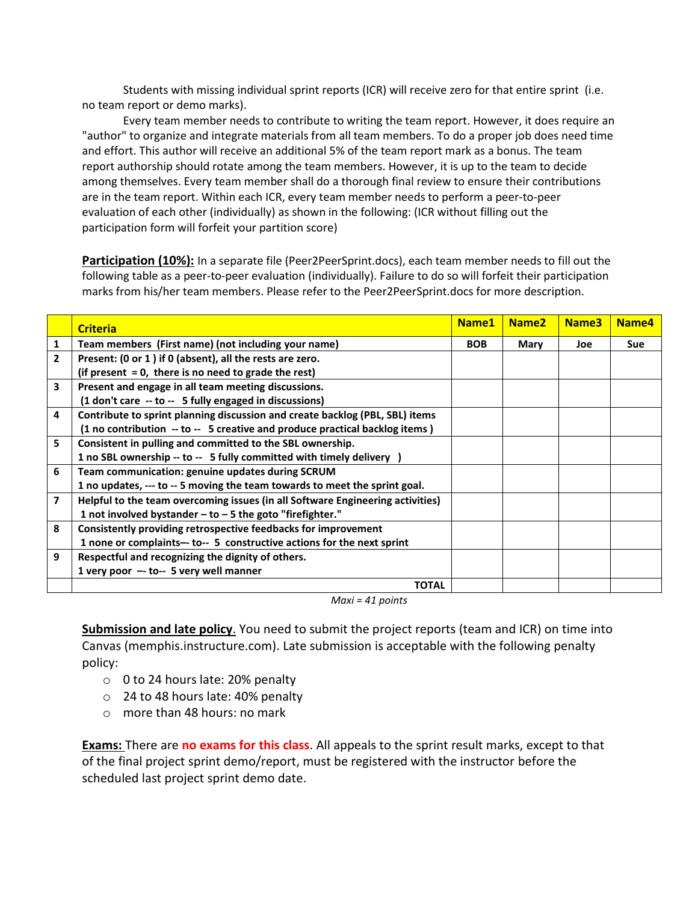Students with missing individual sprint reports (ICR) will receive zero for that entire sprint (i.e. no team report or demo marks).

Every team member needs to contribute to writing the team report. However, it does require an "author" to organize and integrate materials from all team members. To do a proper job does need time and effort. This author will receive an additional 5% of the team report mark as a bonus. The team report authorship should rotate among the team members. However, it is up to the team to decide among themselves. Every team member shall do a thorough final review to ensure their contributions are in the team report. Within each ICR, every team member needs to perform a peer-to-peer evaluation of each other (individually) as shown in the following: (ICR without filling out the participation form will forfeit your partition score)

**Participation (10%):** In a separate file (Peer2PeerSprint.docs), each team member needs to fill out the following table as a peer-to-peer evaluation (individually). Failure to do so will forfeit their participation marks from his/her team members. Please refer to the Peer2PeerSprint.docs for more description.

|              | <b>Criteria</b>                                                                | Name1 | Name <sub>2</sub> | Name <sub>3</sub> | Name4      |
|--------------|--------------------------------------------------------------------------------|-------|-------------------|-------------------|------------|
| 1            | Team members (First name) (not including your name)                            |       | Mary              | Joe               | <b>Sue</b> |
| $\mathbf{2}$ | Present: (0 or 1) if 0 (absent), all the rests are zero.                       |       |                   |                   |            |
|              | (if present $= 0$ , there is no need to grade the rest)                        |       |                   |                   |            |
| 3            | Present and engage in all team meeting discussions.                            |       |                   |                   |            |
|              | (1 don't care -- to -- 5 fully engaged in discussions)                         |       |                   |                   |            |
| 4            | Contribute to sprint planning discussion and create backlog (PBL, SBL) items   |       |                   |                   |            |
|              | (1 no contribution -- to -- 5 creative and produce practical backlog items)    |       |                   |                   |            |
| 5            | Consistent in pulling and committed to the SBL ownership.                      |       |                   |                   |            |
|              | 1 no SBL ownership -- to -- 5 fully committed with timely delivery )           |       |                   |                   |            |
| 6            | Team communication: genuine updates during SCRUM                               |       |                   |                   |            |
|              | 1 no updates, --- to -- 5 moving the team towards to meet the sprint goal.     |       |                   |                   |            |
| 7            | Helpful to the team overcoming issues (in all Software Engineering activities) |       |                   |                   |            |
|              | 1 not involved bystander $-$ to $-$ 5 the goto "firefighter."                  |       |                   |                   |            |
| 8            | Consistently providing retrospective feedbacks for improvement                 |       |                   |                   |            |
|              | 1 none or complaints-- to-- 5 constructive actions for the next sprint         |       |                   |                   |            |
| 9            | Respectful and recognizing the dignity of others.                              |       |                   |                   |            |
|              | 1 very poor $-$ to-- 5 very well manner                                        |       |                   |                   |            |
|              | <b>TOTAL</b>                                                                   |       |                   |                   |            |

*Maxi = 41 points*

**Submission and late policy**. You need to submit the project reports (team and ICR) on time into Canvas (memphis.instructure.com). Late submission is acceptable with the following penalty policy:

- o 0 to 24 hours late: 20% penalty
- o 24 to 48 hours late: 40% penalty
- $\circ$  more than 48 hours: no mark

**Exams:** There are **no exams for this class**. All appeals to the sprint result marks, except to that of the final project sprint demo/report, must be registered with the instructor before the scheduled last project sprint demo date.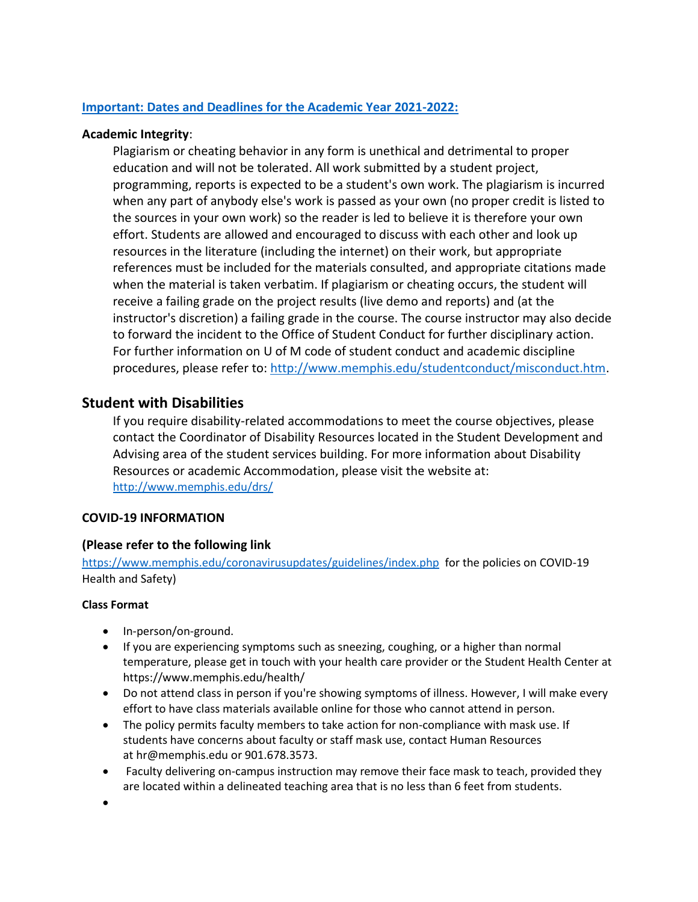## **Important: [Dates and Deadlines for the Academic Year 2021-2022:](https://www.memphis.edu/registrar/calendars/dates/22s-dates.php)**

## **Academic Integrity**:

Plagiarism or cheating behavior in any form is unethical and detrimental to proper education and will not be tolerated. All work submitted by a student project, programming, reports is expected to be a student's own work. The plagiarism is incurred when any part of anybody else's work is passed as your own (no proper credit is listed to the sources in your own work) so the reader is led to believe it is therefore your own effort. Students are allowed and encouraged to discuss with each other and look up resources in the literature (including the internet) on their work, but appropriate references must be included for the materials consulted, and appropriate citations made when the material is taken verbatim. If plagiarism or cheating occurs, the student will receive a failing grade on the project results (live demo and reports) and (at the instructor's discretion) a failing grade in the course. The course instructor may also decide to forward the incident to the Office of Student Conduct for further disciplinary action. For further information on U of M code of student conduct and academic discipline procedures, please refer to: [http://www.memphis.edu/studentconduct/misconduct.htm.](http://www.memphis.edu/studentconduct/misconduct.htm)

# **Student with Disabilities**

If you require disability-related accommodations to meet the course objectives, please contact the Coordinator of Disability Resources located in the Student Development and Advising area of the student services building. For more information about Disability Resources or academic Accommodation, please visit the website at: <http://www.memphis.edu/drs/>

## **COVID-19 INFORMATION**

## **(Please refer to the following link**

<https://www.memphis.edu/coronavirusupdates/guidelines/index.php> for the policies on COVID-19 Health and Safety)

## **Class Format**

- In-person/on-ground.
- If you are experiencing symptoms such as sneezing, coughing, or a higher than normal temperature, please get in touch with your health care provider or the Student Health Center at <https://www.memphis.edu/health/>
- Do not attend class in person if you're showing symptoms of illness. However, I will make every effort to have class materials available online for those who cannot attend in person.
- The policy permits faculty members to take action for non-compliance with mask use. If students have concerns about faculty or staff mask use, contact Human Resources at [hr@memphis.edu](mailto:hr@memphis.edu) or 901.678.3573.
- Faculty delivering on-campus instruction may remove their face mask to teach, provided they are located within a delineated teaching area that is no less than 6 feet from students.
- •